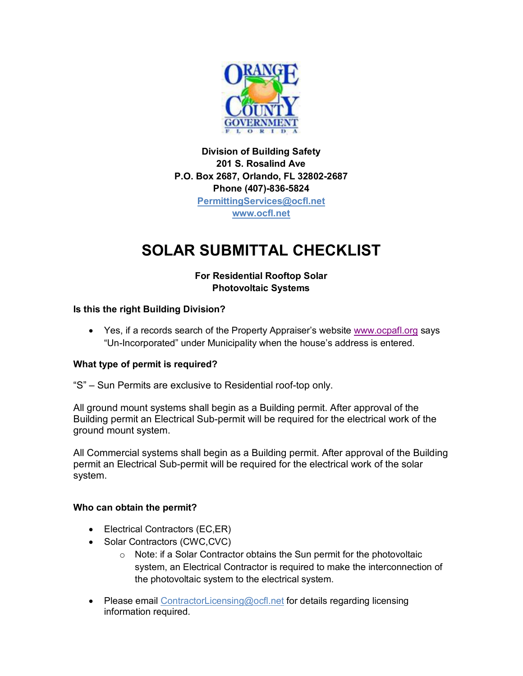

**Division of Building Safety 201 S. Rosalind Ave P.O. Box 2687, Orlando, FL 32802-2687 Phone (407)-836-5824 PermittingServices@ocfl.net www.ocfl.net**

# **SOLAR SUBMITTAL CHECKLIST**

## **For Residential Rooftop Solar Photovoltaic Systems**

## **Is this the right Building Division?**

• Yes, if a records search of the Property Appraiser's website www.ocpafl.org says "Un-Incorporated" under Municipality when the house's address is entered.

## **What type of permit is required?**

"S" – Sun Permits are exclusive to Residential roof-top only.

All ground mount systems shall begin as a Building permit. After approval of the Building permit an Electrical Sub-permit will be required for the electrical work of the ground mount system.

All Commercial systems shall begin as a Building permit. After approval of the Building permit an Electrical Sub-permit will be required for the electrical work of the solar system.

#### **Who can obtain the permit?**

- Electrical Contractors (EC,ER)
- Solar Contractors (CWC,CVC)
	- o Note: if a Solar Contractor obtains the Sun permit for the photovoltaic system, an Electrical Contractor is required to make the interconnection of the photovoltaic system to the electrical system.
- Please email ContractorLicensing@ocfl.net for details regarding licensing information required.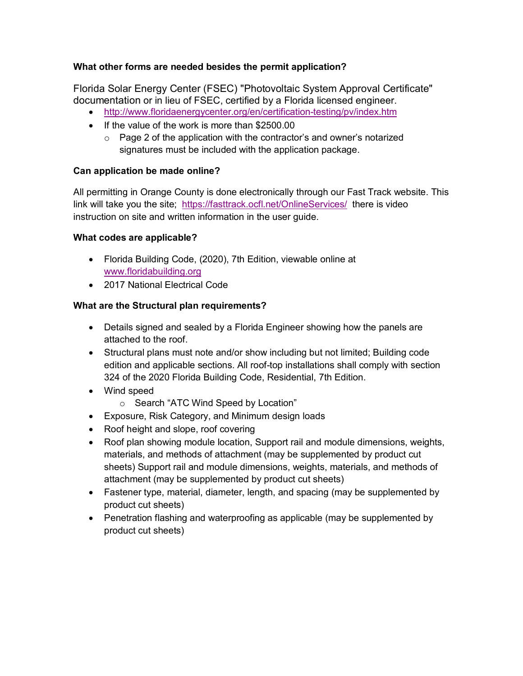## **What other forms are needed besides the permit application?**

Florida Solar Energy Center (FSEC) "Photovoltaic System Approval Certificate" documentation or in lieu of FSEC, certified by a Florida licensed engineer.

- http://www.floridaenergycenter.org/en/certification-testing/pv/index.htm
- If the value of the work is more than \$2500.00
	- o Page 2 of the application with the contractor's and owner's notarized signatures must be included with the application package.

## **Can application be made online?**

All permitting in Orange County is done electronically through our Fast Track website. This link will take you the site; https://fasttrack.ocfl.net/OnlineServices/ there is video instruction on site and written information in the user guide.

#### **What codes are applicable?**

- Florida Building Code, (2020), 7th Edition, viewable online at www.floridabuilding.org
- 2017 National Electrical Code

## **What are the Structural plan requirements?**

- Details signed and sealed by a Florida Engineer showing how the panels are attached to the roof.
- Structural plans must note and/or show including but not limited; Building code edition and applicable sections. All roof-top installations shall comply with section 324 of the 2020 Florida Building Code, Residential, 7th Edition.
- Wind speed
	- o Search "ATC Wind Speed by Location"
- Exposure, Risk Category, and Minimum design loads
- Roof height and slope, roof covering
- Roof plan showing module location, Support rail and module dimensions, weights, materials, and methods of attachment (may be supplemented by product cut sheets) Support rail and module dimensions, weights, materials, and methods of attachment (may be supplemented by product cut sheets)
- Fastener type, material, diameter, length, and spacing (may be supplemented by product cut sheets)
- Penetration flashing and waterproofing as applicable (may be supplemented by product cut sheets)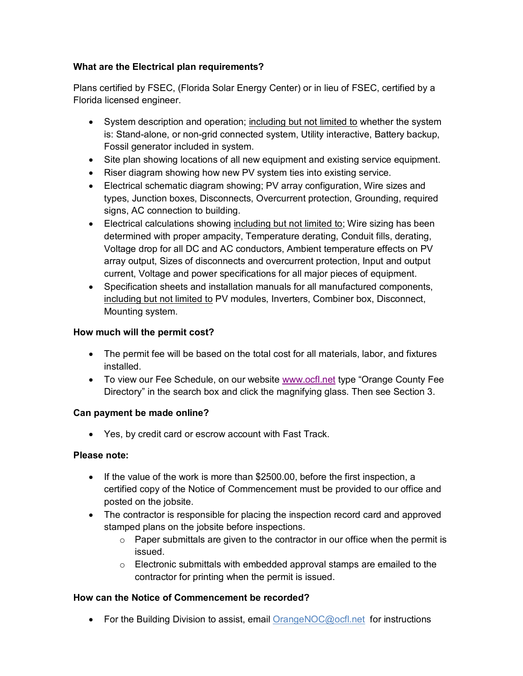## **What are the Electrical plan requirements?**

Plans certified by FSEC, (Florida Solar Energy Center) or in lieu of FSEC, certified by a Florida licensed engineer.

- System description and operation; including but not limited to whether the system is: Stand-alone, or non-grid connected system, Utility interactive, Battery backup, Fossil generator included in system.
- Site plan showing locations of all new equipment and existing service equipment.
- Riser diagram showing how new PV system ties into existing service.
- Electrical schematic diagram showing; PV array configuration, Wire sizes and types, Junction boxes, Disconnects, Overcurrent protection, Grounding, required signs, AC connection to building.
- Electrical calculations showing including but not limited to; Wire sizing has been determined with proper ampacity, Temperature derating, Conduit fills, derating, Voltage drop for all DC and AC conductors, Ambient temperature effects on PV array output, Sizes of disconnects and overcurrent protection, Input and output current, Voltage and power specifications for all major pieces of equipment.
- Specification sheets and installation manuals for all manufactured components, including but not limited to PV modules, Inverters, Combiner box, Disconnect, Mounting system.

## **How much will the permit cost?**

- The permit fee will be based on the total cost for all materials, labor, and fixtures installed.
- To view our Fee Schedule, on our website www.ocfl.net type "Orange County Fee Directory" in the search box and click the magnifying glass. Then see Section 3.

#### **Can payment be made online?**

• Yes, by credit card or escrow account with Fast Track.

#### **Please note:**

- If the value of the work is more than \$2500.00, before the first inspection, a certified copy of the Notice of Commencement must be provided to our office and posted on the jobsite.
- The contractor is responsible for placing the inspection record card and approved stamped plans on the jobsite before inspections.
	- o Paper submittals are given to the contractor in our office when the permit is issued.
	- o Electronic submittals with embedded approval stamps are emailed to the contractor for printing when the permit is issued.

## **How can the Notice of Commencement be recorded?**

• For the Building Division to assist, email OrangeNOC@ocfl.net for instructions